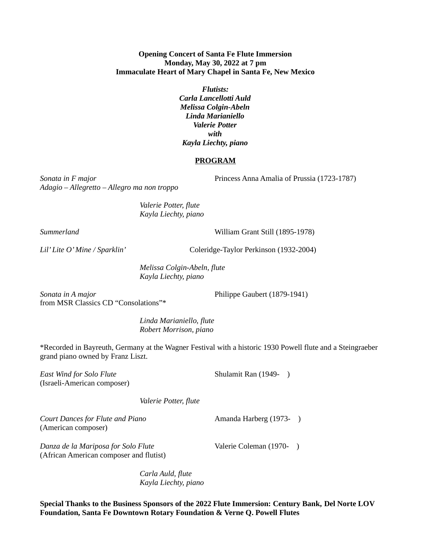## **Opening Concert of Santa Fe Flute Immersion Monday, May 30, 2022 at 7 pm Immaculate Heart of Mary Chapel in Santa Fe, New Mexico**

*Flutists: Carla Lancellotti Auld Melissa Colgin-Abeln Linda Marianiello Valerie Potter with Kayla Liechty, piano*

## **PROGRAM**

*Adagio – Allegretto – Allegro ma non troppo*

*Sonata in F major* Princess Anna Amalia of Prussia (1723-1787)

*Valerie Potter, flute Kayla Liechty, piano*

*Summerland* William Grant Still (1895-1978)

*Lil' Lite O' Mine / Sparklin'* Coleridge-Taylor Perkinson (1932-2004)

*Melissa Colgin-Abeln, flute Kayla Liechty, piano*

*Sonata in A major* Philippe Gaubert (1879-1941) from MSR Classics CD "Consolations"\*

*Linda Marianiello, flute Robert Morrison, piano*

\*Recorded in Bayreuth, Germany at the Wagner Festival with a historic 1930 Powell flute and a Steingraeber grand piano owned by Franz Liszt.

*East Wind for Solo Flute* Shulamit Ran (1949-) (Israeli-American composer)

*Valerie Potter, flute*

*Court Dances for Flute and Piano* **Amanda Harberg (1973-**) (American composer)

*Danza de la Mariposa for Solo Flute* Valerie Coleman (1970-) (African American composer and flutist)

*Carla Auld, flute Kayla Liechty, piano*

**Special Thanks to the Business Sponsors of the 2022 Flute Immersion: Century Bank, Del Norte LOV Foundation, Santa Fe Downtown Rotary Foundation & Verne Q. Powell Flutes**